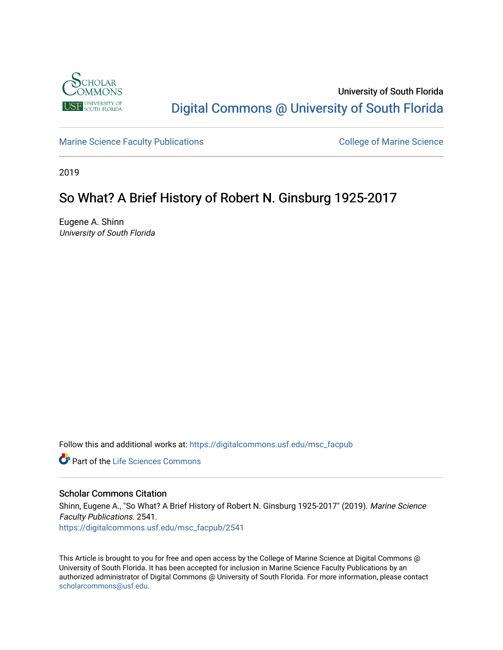

### University of South Florida [Digital Commons @ University of South Florida](https://digitalcommons.usf.edu/)

[Marine Science Faculty Publications](https://digitalcommons.usf.edu/msc_facpub) **College of Marine Science** College of Marine Science

2019

# So What? A Brief History of Robert N. Ginsburg 1925-2017

Eugene A. Shinn University of South Florida

Follow this and additional works at: [https://digitalcommons.usf.edu/msc\\_facpub](https://digitalcommons.usf.edu/msc_facpub?utm_source=digitalcommons.usf.edu%2Fmsc_facpub%2F2541&utm_medium=PDF&utm_campaign=PDFCoverPages) 

**C** Part of the Life Sciences Commons

### Scholar Commons Citation

Shinn, Eugene A., "So What? A Brief History of Robert N. Ginsburg 1925-2017" (2019). Marine Science Faculty Publications. 2541. [https://digitalcommons.usf.edu/msc\\_facpub/2541](https://digitalcommons.usf.edu/msc_facpub/2541?utm_source=digitalcommons.usf.edu%2Fmsc_facpub%2F2541&utm_medium=PDF&utm_campaign=PDFCoverPages) 

This Article is brought to you for free and open access by the College of Marine Science at Digital Commons @ University of South Florida. It has been accepted for inclusion in Marine Science Faculty Publications by an authorized administrator of Digital Commons @ University of South Florida. For more information, please contact [scholarcommons@usf.edu.](mailto:scholarcommons@usf.edu)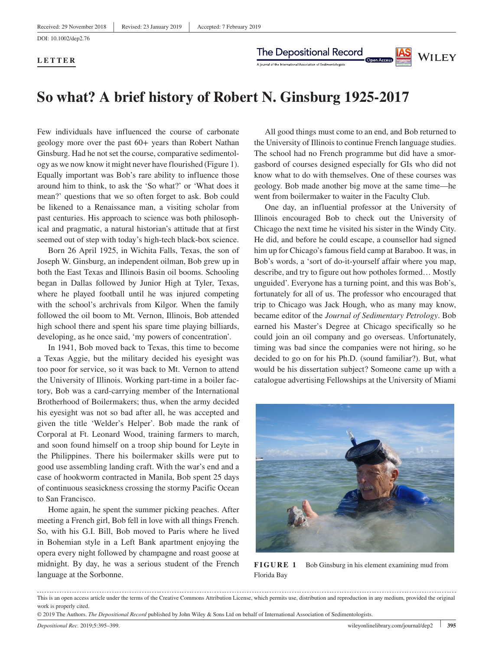DOI: 10.1002/dep2.76

#### **LETTER**



# **So what? A brief history of Robert N. Ginsburg 1925‐2017**

Few individuals have influenced the course of carbonate geology more over the past 60+ years than Robert Nathan Ginsburg. Had he not set the course, comparative sedimentology as we now know it might never have flourished (Figure 1). Equally important was Bob's rare ability to influence those around him to think, to ask the 'So what?' or 'What does it mean?' questions that we so often forget to ask. Bob could be likened to a Renaissance man, a visiting scholar from past centuries. His approach to science was both philosophical and pragmatic, a natural historian's attitude that at first seemed out of step with today's high-tech black-box science.

Born 26 April 1925, in Wichita Falls, Texas, the son of Joseph W. Ginsburg, an independent oilman, Bob grew up in both the East Texas and Illinois Basin oil booms. Schooling began in Dallas followed by Junior High at Tyler, Texas, where he played football until he was injured competing with the school's archrivals from Kilgor. When the family followed the oil boom to Mt. Vernon, Illinois, Bob attended high school there and spent his spare time playing billiards, developing, as he once said, 'my powers of concentration'.

In 1941, Bob moved back to Texas, this time to become a Texas Aggie, but the military decided his eyesight was too poor for service, so it was back to Mt. Vernon to attend the University of Illinois. Working part‐time in a boiler factory, Bob was a card‐carrying member of the International Brotherhood of Boilermakers; thus, when the army decided his eyesight was not so bad after all, he was accepted and given the title 'Welder's Helper'. Bob made the rank of Corporal at Ft. Leonard Wood, training farmers to march, and soon found himself on a troop ship bound for Leyte in the Philippines. There his boilermaker skills were put to good use assembling landing craft. With the war's end and a case of hookworm contracted in Manila, Bob spent 25 days of continuous seasickness crossing the stormy Pacific Ocean to San Francisco.

Home again, he spent the summer picking peaches. After meeting a French girl, Bob fell in love with all things French. So, with his G.I. Bill, Bob moved to Paris where he lived in Bohemian style in a Left Bank apartment enjoying the opera every night followed by champagne and roast goose at midnight. By day, he was a serious student of the French language at the Sorbonne.

All good things must come to an end, and Bob returned to the University of Illinois to continue French language studies. The school had no French programme but did have a smorgasbord of courses designed especially for GIs who did not know what to do with themselves. One of these courses was geology. Bob made another big move at the same time—he went from boilermaker to waiter in the Faculty Club.

One day, an influential professor at the University of Illinois encouraged Bob to check out the University of Chicago the next time he visited his sister in the Windy City. He did, and before he could escape, a counsellor had signed him up for Chicago's famous field camp at Baraboo. It was, in Bob's words, a 'sort of do‐it‐yourself affair where you map, describe, and try to figure out how potholes formed… Mostly unguided'. Everyone has a turning point, and this was Bob's, fortunately for all of us. The professor who encouraged that trip to Chicago was Jack Hough, who as many may know, became editor of the *Journal of Sedimentary Petrology*. Bob earned his Master's Degree at Chicago specifically so he could join an oil company and go overseas. Unfortunately, timing was bad since the companies were not hiring, so he decided to go on for his Ph.D. (sound familiar?). But, what would be his dissertation subject? Someone came up with a catalogue advertising Fellowships at the University of Miami



**FIGURE 1** Bob Ginsburg in his element examining mud from Florida Bay

This is an open access article under the terms of the Creative Commons Attribution License, which permits use, distribution and reproduction in any medium, provided the original work is properly cited.

<sup>© 2019</sup> The Authors. *The Depositional Record* published by John Wiley & Sons Ltd on behalf of International Association of Sedimentologists.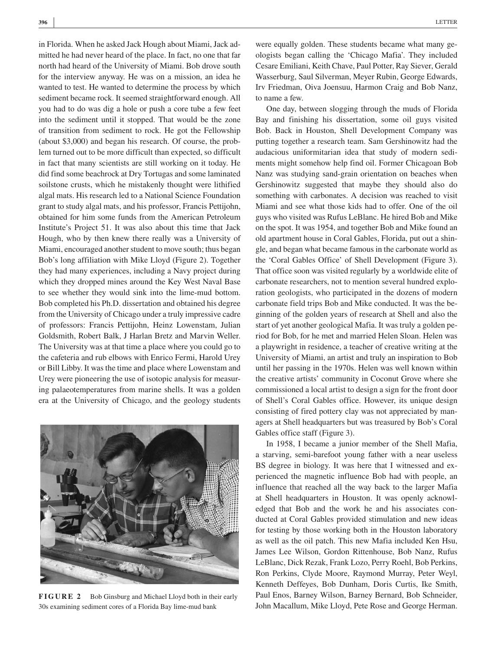in Florida. When he asked Jack Hough about Miami, Jack admitted he had never heard of the place. In fact, no one that far north had heard of the University of Miami. Bob drove south for the interview anyway. He was on a mission, an idea he wanted to test. He wanted to determine the process by which sediment became rock. It seemed straightforward enough. All you had to do was dig a hole or push a core tube a few feet into the sediment until it stopped. That would be the zone of transition from sediment to rock. He got the Fellowship (about \$3,000) and began his research. Of course, the problem turned out to be more difficult than expected, so difficult in fact that many scientists are still working on it today. He did find some beachrock at Dry Tortugas and some laminated soilstone crusts, which he mistakenly thought were lithified algal mats. His research led to a National Science Foundation grant to study algal mats, and his professor, Francis Pettijohn, obtained for him some funds from the American Petroleum Institute's Project 51. It was also about this time that Jack Hough, who by then knew there really was a University of Miami, encouraged another student to move south; thus began Bob's long affiliation with Mike Lloyd (Figure 2). Together they had many experiences, including a Navy project during which they dropped mines around the Key West Naval Base to see whether they would sink into the lime‐mud bottom. Bob completed his Ph.D. dissertation and obtained his degree from the University of Chicago under a truly impressive cadre of professors: Francis Pettijohn, Heinz Lowenstam, Julian Goldsmith, Robert Balk, J Harlan Bretz and Marvin Weller. The University was at that time a place where you could go to the cafeteria and rub elbows with Enrico Fermi, Harold Urey or Bill Libby. It was the time and place where Lowenstam and Urey were pioneering the use of isotopic analysis for measuring palaeotemperatures from marine shells. It was a golden era at the University of Chicago, and the geology students



**FIGURE 2** Bob Ginsburg and Michael Lloyd both in their early 30s examining sediment cores of a Florida Bay lime‐mud bank

were equally golden. These students became what many geologists began calling the 'Chicago Mafia'. They included Cesare Emiliani, Keith Chave, Paul Potter, Ray Siever, Gerald Wasserburg, Saul Silverman, Meyer Rubin, George Edwards, Irv Friedman, Oiva Joensuu, Harmon Craig and Bob Nanz, to name a few.

One day, between slogging through the muds of Florida Bay and finishing his dissertation, some oil guys visited Bob. Back in Houston, Shell Development Company was putting together a research team. Sam Gershinowitz had the audacious uniformitarian idea that study of modern sediments might somehow help find oil. Former Chicagoan Bob Nanz was studying sand‐grain orientation on beaches when Gershinowitz suggested that maybe they should also do something with carbonates. A decision was reached to visit Miami and see what those kids had to offer. One of the oil guys who visited was Rufus LeBlanc. He hired Bob and Mike on the spot. It was 1954, and together Bob and Mike found an old apartment house in Coral Gables, Florida, put out a shingle, and began what became famous in the carbonate world as the 'Coral Gables Office' of Shell Development (Figure 3). That office soon was visited regularly by a worldwide elite of carbonate researchers, not to mention several hundred exploration geologists, who participated in the dozens of modern carbonate field trips Bob and Mike conducted. It was the beginning of the golden years of research at Shell and also the start of yet another geological Mafia. It was truly a golden period for Bob, for he met and married Helen Sloan. Helen was a playwright in residence, a teacher of creative writing at the University of Miami, an artist and truly an inspiration to Bob until her passing in the 1970s. Helen was well known within the creative artists' community in Coconut Grove where she commissioned a local artist to design a sign for the front door of Shell's Coral Gables office. However, its unique design consisting of fired pottery clay was not appreciated by managers at Shell headquarters but was treasured by Bob's Coral Gables office staff (Figure 3).

In 1958, I became a junior member of the Shell Mafia, a starving, semi‐barefoot young father with a near useless BS degree in biology. It was here that I witnessed and experienced the magnetic influence Bob had with people, an influence that reached all the way back to the larger Mafia at Shell headquarters in Houston. It was openly acknowledged that Bob and the work he and his associates conducted at Coral Gables provided stimulation and new ideas for testing by those working both in the Houston laboratory as well as the oil patch. This new Mafia included Ken Hsu, James Lee Wilson, Gordon Rittenhouse, Bob Nanz, Rufus LeBlanc, Dick Rezak, Frank Lozo, Perry Roehl, Bob Perkins, Ron Perkins, Clyde Moore, Raymond Murray, Peter Weyl, Kenneth Deffeyes, Bob Dunham, Doris Curtis, Ike Smith, Paul Enos, Barney Wilson, Barney Bernard, Bob Schneider, John Macallum, Mike Lloyd, Pete Rose and George Herman.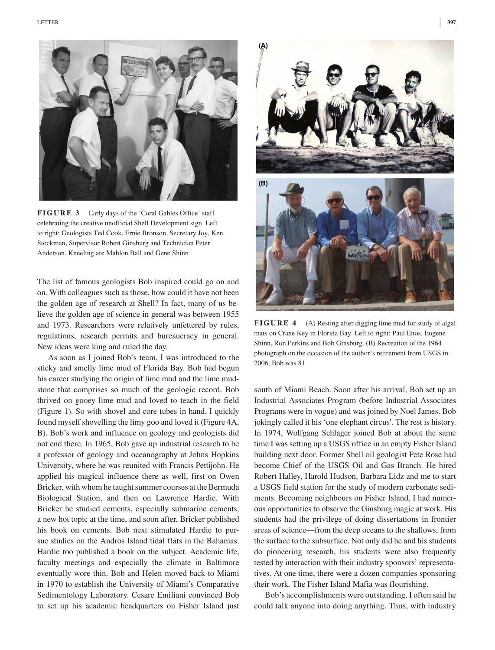

**FIGURE 3** Early days of the 'Coral Gables Office' staff celebrating the creative unofficial Shell Development sign. Left to right: Geologists Ted Cook, Ernie Bronson, Secretary Joy, Ken Stockman, Supervisor Robert Ginsburg and Technician Peter Anderson. Kneeling are Mahlon Ball and Gene Shinn

The list of famous geologists Bob inspired could go on and on. With colleagues such as those, how could it have not been the golden age of research at Shell? In fact, many of us believe the golden age of science in general was between 1955 and 1973. Researchers were relatively unfettered by rules, regulations, research permits and bureaucracy in general. New ideas were king and ruled the day.

As soon as I joined Bob's team, I was introduced to the sticky and smelly lime mud of Florida Bay. Bob had begun his career studying the origin of lime mud and the lime mudstone that comprises so much of the geologic record. Bob thrived on gooey lime mud and loved to teach in the field (Figure 1). So with shovel and core tubes in hand, I quickly found myself shovelling the limy goo and loved it (Figure 4A, B). Bob's work and influence on geology and geologists did not end there. In 1965, Bob gave up industrial research to be a professor of geology and oceanography at Johns Hopkins University, where he was reunited with Francis Pettijohn. He applied his magical influence there as well, first on Owen Bricker, with whom he taught summer courses at the Bermuda Biological Station, and then on Lawrence Hardie. With Bricker he studied cements, especially submarine cements, a new hot topic at the time, and soon after, Bricker published his book on cements. Bob next stimulated Hardie to pursue studies on the Andros Island tidal flats in the Bahamas. Hardie too published a book on the subject. Academic life, faculty meetings and especially the climate in Baltimore eventually wore thin. Bob and Helen moved back to Miami in 1970 to establish the University of Miami's Comparative Sedimentology Laboratory. Cesare Emiliani convinced Bob to set up his academic headquarters on Fisher Island just



**FIGURE 4** (A) Resting after digging lime mud for study of algal mats on Crane Key in Florida Bay. Left to right: Paul Enos, Eugene Shinn, Ron Perkins and Bob Ginsburg. (B) Recreation of the 1964 photograph on the occasion of the author's retirement from USGS in 2006, Bob was 81

south of Miami Beach. Soon after his arrival, Bob set up an Industrial Associates Program (before Industrial Associates Programs were in vogue) and was joined by Noel James. Bob jokingly called it his 'one elephant circus'. The rest is history. In 1974, Wolfgang Schlager joined Bob at about the same time I was setting up a USGS office in an empty Fisher Island building next door. Former Shell oil geologist Pete Rose had become Chief of the USGS Oil and Gas Branch. He hired Robert Halley, Harold Hudson, Barbara Lidz and me to start a USGS field station for the study of modern carbonate sediments. Becoming neighbours on Fisher Island, I had numerous opportunities to observe the Ginsburg magic at work. His students had the privilege of doing dissertations in frontier areas of science—from the deep oceans to the shallows, from the surface to the subsurface. Not only did he and his students do pioneering research, his students were also frequently tested by interaction with their industry sponsors' representatives. At one time, there were a dozen companies sponsoring their work. The Fisher Island Mafia was flourishing.

Bob's accomplishments were outstanding. I often said he could talk anyone into doing anything. Thus, with industry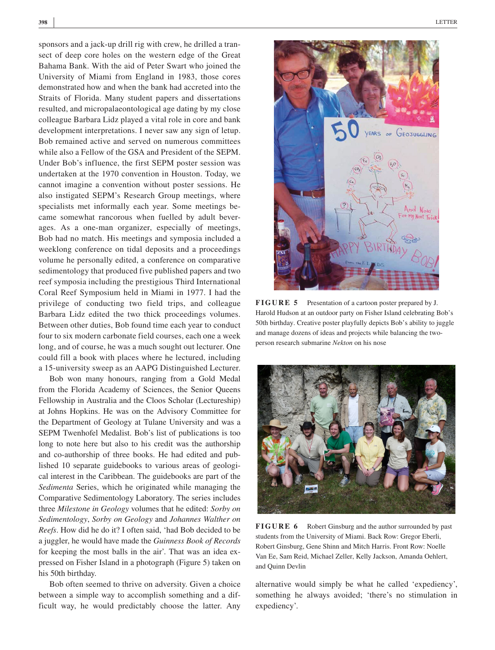sponsors and a jack-up drill rig with crew, he drilled a transect of deep core holes on the western edge of the Great Bahama Bank. With the aid of Peter Swart who joined the University of Miami from England in 1983, those cores demonstrated how and when the bank had accreted into the Straits of Florida. Many student papers and dissertations resulted, and micropalaeontological age dating by my close colleague Barbara Lidz played a vital role in core and bank development interpretations. I never saw any sign of letup. Bob remained active and served on numerous committees while also a Fellow of the GSA and President of the SEPM. Under Bob's influence, the first SEPM poster session was undertaken at the 1970 convention in Houston. Today, we cannot imagine a convention without poster sessions. He also instigated SEPM's Research Group meetings, where specialists met informally each year. Some meetings became somewhat rancorous when fuelled by adult beverages. As a one‐man organizer, especially of meetings, Bob had no match. His meetings and symposia included a weeklong conference on tidal deposits and a proceedings volume he personally edited, a conference on comparative sedimentology that produced five published papers and two reef symposia including the prestigious Third International Coral Reef Symposium held in Miami in 1977. I had the privilege of conducting two field trips, and colleague Barbara Lidz edited the two thick proceedings volumes. Between other duties, Bob found time each year to conduct four to six modern carbonate field courses, each one a week long, and of course, he was a much sought out lecturer. One could fill a book with places where he lectured, including a 15‐university sweep as an AAPG Distinguished Lecturer.

Bob won many honours, ranging from a Gold Medal from the Florida Academy of Sciences, the Senior Queens Fellowship in Australia and the Cloos Scholar (Lectureship) at Johns Hopkins. He was on the Advisory Committee for the Department of Geology at Tulane University and was a SEPM Twenhofel Medalist. Bob's list of publications is too long to note here but also to his credit was the authorship and co‐authorship of three books. He had edited and published 10 separate guidebooks to various areas of geological interest in the Caribbean. The guidebooks are part of the *Sedimenta* Series, which he originated while managing the Comparative Sedimentology Laboratory. The series includes three *Milestone in Geology* volumes that he edited: *Sorby on Sedimentology*, *Sorby on Geology* and *Johannes Walther on Reefs*. How did he do it? I often said, 'had Bob decided to be a juggler, he would have made the *Guinness Book of Records* for keeping the most balls in the air'. That was an idea expressed on Fisher Island in a photograph (Figure 5) taken on his 50th birthday.

Bob often seemed to thrive on adversity. Given a choice between a simple way to accomplish something and a difficult way, he would predictably choose the latter. Any



**FIGURE 5** Presentation of a cartoon poster prepared by J. Harold Hudson at an outdoor party on Fisher Island celebrating Bob's 50th birthday. Creative poster playfully depicts Bob's ability to juggle and manage dozens of ideas and projects while balancing the twoperson research submarine *Nekton* on his nose



**FIGURE 6** Robert Ginsburg and the author surrounded by past students from the University of Miami. Back Row: Gregor Eberli, Robert Ginsburg, Gene Shinn and Mitch Harris. Front Row: Noelle Van Ee, Sam Reid, Michael Zeller, Kelly Jackson, Amanda Oehlert, and Quinn Devlin

alternative would simply be what he called 'expediency', something he always avoided; 'there's no stimulation in expediency'.